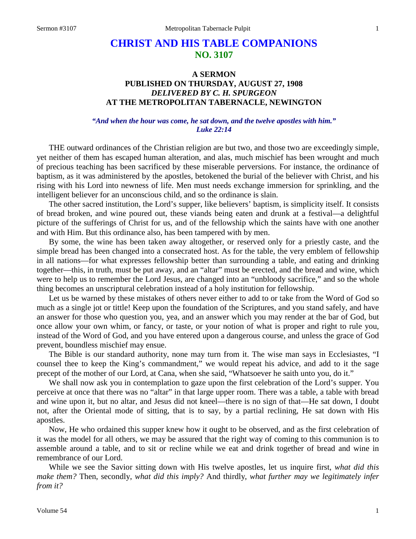# **CHRIST AND HIS TABLE COMPANIONS NO. 3107**

# **A SERMON PUBLISHED ON THURSDAY, AUGUST 27, 1908** *DELIVERED BY C. H. SPURGEON* **AT THE METROPOLITAN TABERNACLE, NEWINGTON**

## *"And when the hour was come, he sat down, and the twelve apostles with him." Luke 22:14*

THE outward ordinances of the Christian religion are but two, and those two are exceedingly simple, yet neither of them has escaped human alteration, and alas, much mischief has been wrought and much of precious teaching has been sacrificed by these miserable perversions. For instance, the ordinance of baptism, as it was administered by the apostles, betokened the burial of the believer with Christ, and his rising with his Lord into newness of life. Men must needs exchange immersion for sprinkling, and the intelligent believer for an unconscious child, and so the ordinance is slain.

The other sacred institution, the Lord's supper, like believers' baptism, is simplicity itself. It consists of bread broken, and wine poured out, these viands being eaten and drunk at a festival—a delightful picture of the sufferings of Christ for us, and of the fellowship which the saints have with one another and with Him. But this ordinance also, has been tampered with by men.

By some, the wine has been taken away altogether, or reserved only for a priestly caste, and the simple bread has been changed into a consecrated host. As for the table, the very emblem of fellowship in all nations—for what expresses fellowship better than surrounding a table, and eating and drinking together—this, in truth, must be put away, and an "altar" must be erected, and the bread and wine, which were to help us to remember the Lord Jesus, are changed into an "unbloody sacrifice," and so the whole thing becomes an unscriptural celebration instead of a holy institution for fellowship.

Let us be warned by these mistakes of others never either to add to or take from the Word of God so much as a single jot or tittle! Keep upon the foundation of the Scriptures, and you stand safely, and have an answer for those who question you, yea, and an answer which you may render at the bar of God, but once allow your own whim, or fancy, or taste, or your notion of what is proper and right to rule you, instead of the Word of God, and you have entered upon a dangerous course, and unless the grace of God prevent, boundless mischief may ensue.

The Bible is our standard authority, none may turn from it. The wise man says in Ecclesiastes, "I counsel thee to keep the King's commandment," we would repeat his advice, and add to it the sage precept of the mother of our Lord, at Cana, when she said, "Whatsoever he saith unto you, do it."

We shall now ask you in contemplation to gaze upon the first celebration of the Lord's supper. You perceive at once that there was no "altar" in that large upper room. There was a table, a table with bread and wine upon it, but no altar, and Jesus did not kneel—there is no sign of that—He sat down, I doubt not, after the Oriental mode of sitting, that is to say, by a partial reclining, He sat down with His apostles.

Now, He who ordained this supper knew how it ought to be observed, and as the first celebration of it was the model for all others, we may be assured that the right way of coming to this communion is to assemble around a table, and to sit or recline while we eat and drink together of bread and wine in remembrance of our Lord.

While we see the Savior sitting down with His twelve apostles, let us inquire first, *what did this make them?* Then, secondly, *what did this imply?* And thirdly, *what further may we legitimately infer from it?*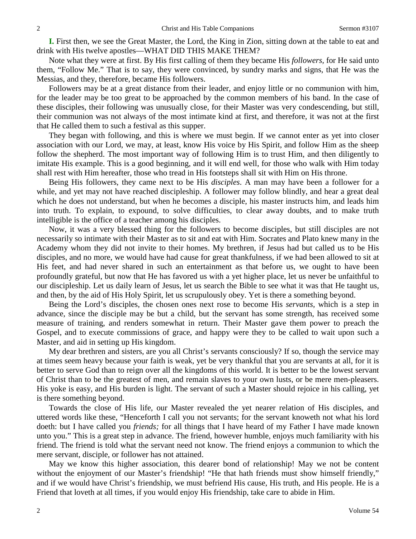**I.** First then, we see the Great Master, the Lord, the King in Zion, sitting down at the table to eat and drink with His twelve apostles—WHAT DID THIS MAKE THEM?

Note what they were at first. By His first calling of them they became His *followers,* for He said unto them, "Follow Me." That is to say, they were convinced, by sundry marks and signs, that He was the Messias, and they, therefore, became His followers.

Followers may be at a great distance from their leader, and enjoy little or no communion with him, for the leader may be too great to be approached by the common members of his band. In the case of these disciples, their following was unusually close, for their Master was very condescending, but still, their communion was not always of the most intimate kind at first, and therefore, it was not at the first that He called them to such a festival as this supper.

They began with following, and this is where we must begin. If we cannot enter as yet into closer association with our Lord, we may, at least, know His voice by His Spirit, and follow Him as the sheep follow the shepherd. The most important way of following Him is to trust Him, and then diligently to imitate His example. This is a good beginning, and it will end well, for those who walk with Him today shall rest with Him hereafter, those who tread in His footsteps shall sit with Him on His throne.

Being His followers, they came next to be His *disciples*. A man may have been a follower for a while, and yet may not have reached discipleship. A follower may follow blindly, and hear a great deal which he does not understand, but when he becomes a disciple, his master instructs him, and leads him into truth. To explain, to expound, to solve difficulties, to clear away doubts, and to make truth intelligible is the office of a teacher among his disciples.

Now, it was a very blessed thing for the followers to become disciples, but still disciples are not necessarily so intimate with their Master as to sit and eat with Him. Socrates and Plato knew many in the Academy whom they did not invite to their homes. My brethren, if Jesus had but called us to be His disciples, and no more, we would have had cause for great thankfulness, if we had been allowed to sit at His feet, and had never shared in such an entertainment as that before us, we ought to have been profoundly grateful, but now that He has favored us with a yet higher place, let us never be unfaithful to our discipleship. Let us daily learn of Jesus, let us search the Bible to see what it was that He taught us, and then, by the aid of His Holy Spirit, let us scrupulously obey. Yet is there a something beyond.

Being the Lord's disciples, the chosen ones next rose to become His *servants,* which is a step in advance, since the disciple may be but a child, but the servant has some strength, has received some measure of training, and renders somewhat in return. Their Master gave them power to preach the Gospel, and to execute commissions of grace, and happy were they to be called to wait upon such a Master, and aid in setting up His kingdom.

My dear brethren and sisters, are you all Christ's servants consciously? If so, though the service may at times seem heavy because your faith is weak, yet be very thankful that you are servants at all, for it is better to serve God than to reign over all the kingdoms of this world. It is better to be the lowest servant of Christ than to be the greatest of men, and remain slaves to your own lusts, or be mere men-pleasers. His yoke is easy, and His burden is light. The servant of such a Master should rejoice in his calling, yet is there something beyond.

Towards the close of His life, our Master revealed the yet nearer relation of His disciples, and uttered words like these, "Henceforth I call you not servants; for the servant knoweth not what his lord doeth: but I have called you *friends;* for all things that I have heard of my Father I have made known unto you." This is a great step in advance. The friend, however humble, enjoys much familiarity with his friend. The friend is told what the servant need not know. The friend enjoys a communion to which the mere servant, disciple, or follower has not attained.

May we know this higher association, this dearer bond of relationship! May we not be content without the enjoyment of our Master's friendship! "He that hath friends must show himself friendly," and if we would have Christ's friendship, we must befriend His cause, His truth, and His people. He is a Friend that loveth at all times, if you would enjoy His friendship, take care to abide in Him.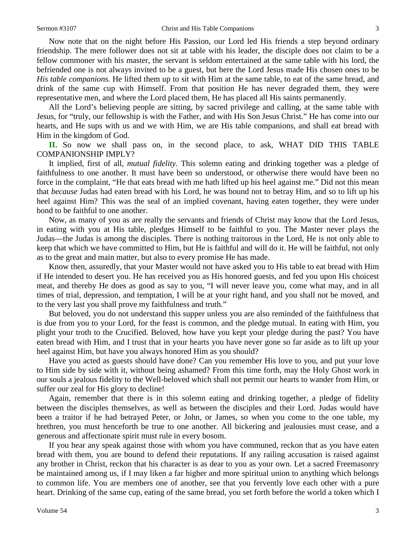Now note that on the night before His Passion, our Lord led His friends a step beyond ordinary friendship. The mere follower does not sit at table with his leader, the disciple does not claim to be a fellow commoner with his master, the servant is seldom entertained at the same table with his lord, the befriended one is not always invited to be a guest, but here the Lord Jesus made His chosen ones to be *His table companions.* He lifted them up to sit with Him at the same table, to eat of the same bread, and drink of the same cup with Himself. From that position He has never degraded them, they were representative men, and where the Lord placed them, He has placed all His saints permanently.

All the Lord's believing people are sitting, by sacred privilege and calling, at the same table with Jesus, for "truly, our fellowship is with the Father, and with His Son Jesus Christ." He has come into our hearts, and He sups with us and we with Him, we are His table companions, and shall eat bread with Him in the kingdom of God.

**II.** So now we shall pass on, in the second place, to ask, WHAT DID THIS TABLE COMPANIONSHIP IMPLY?

It implied, first of all, *mutual fidelity.* This solemn eating and drinking together was a pledge of faithfulness to one another. It must have been so understood, or otherwise there would have been no force in the complaint, "He that eats bread with me hath lifted up his heel against me." Did not this mean that *because* Judas had eaten bread with his Lord, he was bound not to betray Him, and so to lift up his heel against Him? This was the seal of an implied covenant, having eaten together, they were under bond to be faithful to one another.

Now, as many of you as are really the servants and friends of Christ may know that the Lord Jesus, in eating with you at His table, pledges Himself to be faithful to you. The Master never plays the Judas—the Judas is among the disciples. There is nothing traitorous in the Lord, He is not only able to keep that which we have committed to Him, but He is faithful and will do it. He will be faithful, not only as to the great and main matter, but also to every promise He has made.

Know then, assuredly, that your Master would not have asked you to His table to eat bread with Him if He intended to desert you. He has received you as His honored guests, and fed you upon His choicest meat, and thereby He does as good as say to you, "I will never leave you, come what may, and in all times of trial, depression, and temptation, I will be at your right hand, and you shall not be moved, and to the very last you shall prove my faithfulness and truth."

But beloved, you do not understand this supper unless you are also reminded of the faithfulness that is due from you to your Lord, for the feast is common, and the pledge mutual. In eating with Him, you plight your troth to the Crucified. Beloved, how have you kept your pledge during the past? You have eaten bread with Him, and I trust that in your hearts you have never gone so far aside as to lift up your heel against Him, but have you always honored Him as you should?

Have you acted as guests should have done? Can you remember His love to you, and put your love to Him side by side with it, without being ashamed? From this time forth, may the Holy Ghost work in our souls a jealous fidelity to the Well-beloved which shall not permit our hearts to wander from Him, or suffer our zeal for His glory to decline!

Again, remember that there is in this solemn eating and drinking together, a pledge of fidelity between the disciples themselves, as well as between the disciples and their Lord. Judas would have been a traitor if he had betrayed Peter, or John, or James, so when you come to the one table, my brethren, you must henceforth be true to one another. All bickering and jealousies must cease, and a generous and affectionate spirit must rule in every bosom.

If you hear any speak against those with whom you have communed, reckon that as you have eaten bread with them, you are bound to defend their reputations. If any railing accusation is raised against any brother in Christ, reckon that his character is as dear to you as your own. Let a sacred Freemasonry be maintained among us, if I may liken a far higher and more spiritual union to anything which belongs to common life. You are members one of another, see that you fervently love each other with a pure heart. Drinking of the same cup, eating of the same bread, you set forth before the world a token which I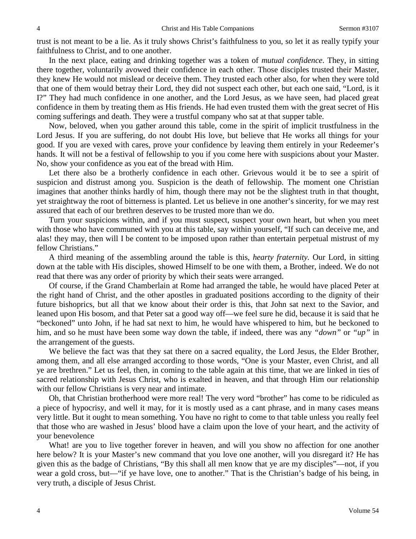trust is not meant to be a lie. As it truly shows Christ's faithfulness to you, so let it as really typify your faithfulness to Christ, and to one another.

In the next place, eating and drinking together was a token of *mutual confidence*. They, in sitting there together, voluntarily avowed their confidence in each other. Those disciples trusted their Master, they knew He would not mislead or deceive them. They trusted each other also, for when they were told that one of them would betray their Lord, they did not suspect each other, but each one said, "Lord, is it I?" They had much confidence in one another, and the Lord Jesus, as we have seen, had placed great confidence in them by treating them as His friends. He had even trusted them with the great secret of His coming sufferings and death. They were a trustful company who sat at that supper table.

Now, beloved, when you gather around this table, come in the spirit of implicit trustfulness in the Lord Jesus. If you are suffering, do not doubt His love, but believe that He works all things for your good. If you are vexed with cares, prove your confidence by leaving them entirely in your Redeemer's hands. It will not be a festival of fellowship to you if you come here with suspicions about your Master. No, show your confidence as you eat of the bread with Him.

Let there also be a brotherly confidence in each other. Grievous would it be to see a spirit of suspicion and distrust among you. Suspicion is the death of fellowship. The moment one Christian imagines that another thinks hardly of him, though there may not be the slightest truth in that thought, yet straightway the root of bitterness is planted. Let us believe in one another's sincerity, for we may rest assured that each of our brethren deserves to be trusted more than we do.

Turn your suspicions within, and if you must suspect, suspect your own heart, but when you meet with those who have communed with you at this table, say within yourself, "If such can deceive me, and alas! they may, then will I be content to be imposed upon rather than entertain perpetual mistrust of my fellow Christians."

A third meaning of the assembling around the table is this, *hearty fraternity.* Our Lord, in sitting down at the table with His disciples, showed Himself to be one with them, a Brother, indeed. We do not read that there was any order of priority by which their seats were arranged.

Of course, if the Grand Chamberlain at Rome had arranged the table, he would have placed Peter at the right hand of Christ, and the other apostles in graduated positions according to the dignity of their future bishoprics, but all that we know about their order is this, that John sat next to the Savior, and leaned upon His bosom, and that Peter sat a good way off—we feel sure he did, because it is said that he "beckoned" unto John, if he had sat next to him, he would have whispered to him, but he beckoned to him, and so he must have been some way down the table, if indeed, there was any *"down"* or *"up"* in the arrangement of the guests.

We believe the fact was that they sat there on a sacred equality, the Lord Jesus, the Elder Brother, among them, and all else arranged according to those words, "One is your Master, even Christ, and all ye are brethren." Let us feel, then, in coming to the table again at this time, that we are linked in ties of sacred relationship with Jesus Christ, who is exalted in heaven, and that through Him our relationship with our fellow Christians is very near and intimate.

Oh, that Christian brotherhood were more real! The very word "brother" has come to be ridiculed as a piece of hypocrisy, and well it may, for it is mostly used as a cant phrase, and in many cases means very little. But it ought to mean something. You have no right to come to that table unless you really feel that those who are washed in Jesus' blood have a claim upon the love of your heart, and the activity of your benevolence

What! are you to live together forever in heaven, and will you show no affection for one another here below? It is your Master's new command that you love one another, will you disregard it? He has given this as the badge of Christians, "By this shall all men know that ye are my disciples"—not, if you wear a gold cross, but—"if ye have love, one to another." That is the Christian's badge of his being, in very truth, a disciple of Jesus Christ.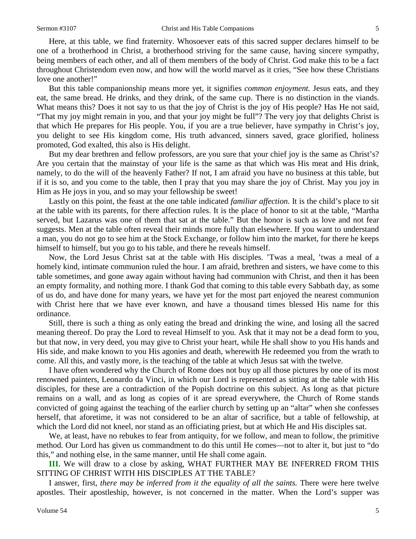Here, at this table, we find fraternity. Whosoever eats of this sacred supper declares himself to be one of a brotherhood in Christ, a brotherhood striving for the same cause, having sincere sympathy, being members of each other, and all of them members of the body of Christ. God make this to be a fact throughout Christendom even now, and how will the world marvel as it cries, "See how these Christians love one another!"

But this table companionship means more yet, it signifies *common enjoyment.* Jesus eats, and they eat, the same bread. He drinks, and they drink, of the same cup. There is no distinction in the viands. What means this? Does it not say to us that the joy of Christ is the joy of His people? Has He not said, "That my joy might remain in you, and that your joy might be full"? The very joy that delights Christ is that which He prepares for His people. You, if you are a true believer, have sympathy in Christ's joy, you delight to see His kingdom come, His truth advanced, sinners saved, grace glorified, holiness promoted, God exalted, this also is His delight.

But my dear brethren and fellow professors, are you sure that your chief joy is the same as Christ's? Are you certain that the mainstay of your life is the same as that which was His meat and His drink, namely, to do the will of the heavenly Father? If not, I am afraid you have no business at this table, but if it is so, and you come to the table, then I pray that you may share the joy of Christ. May you joy in Him as He joys in you, and so may your fellowship be sweet!

Lastly on this point, the feast at the one table indicated *familiar affection*. It is the child's place to sit at the table with its parents, for there affection rules. It is the place of honor to sit at the table, "Martha served, but Lazarus was one of them that sat at the table." But the honor is such as love and not fear suggests. Men at the table often reveal their minds more fully than elsewhere. If you want to understand a man, you do not go to see him at the Stock Exchange, or follow him into the market, for there he keeps himself to himself, but you go to his table, and there he reveals himself.

Now, the Lord Jesus Christ sat at the table with His disciples. 'Twas a meal, 'twas a meal of a homely kind, intimate communion ruled the hour. I am afraid, brethren and sisters, we have come to this table sometimes, and gone away again without having had communion with Christ, and then it has been an empty formality, and nothing more. I thank God that coming to this table every Sabbath day, as some of us do, and have done for many years, we have yet for the most part enjoyed the nearest communion with Christ here that we have ever known, and have a thousand times blessed His name for this ordinance.

Still, there is such a thing as only eating the bread and drinking the wine, and losing all the sacred meaning thereof. Do pray the Lord to reveal Himself to you. Ask that it may not be a dead form to you, but that now, in very deed, you may give to Christ your heart, while He shall show to you His hands and His side, and make known to you His agonies and death, wherewith He redeemed you from the wrath to come. All this, and vastly more, is the teaching of the table at which Jesus sat with the twelve.

I have often wondered why the Church of Rome does not buy up all those pictures by one of its most renowned painters, Leonardo da Vinci, in which our Lord is represented as sitting at the table with His disciples, for these are a contradiction of the Popish doctrine on this subject. As long as that picture remains on a wall, and as long as copies of it are spread everywhere, the Church of Rome stands convicted of going against the teaching of the earlier church by setting up an "altar" when she confesses herself, that aforetime, it was not considered to be an altar of sacrifice, but a table of fellowship, at which the Lord did not kneel, nor stand as an officiating priest, but at which He and His disciples sat.

We, at least, have no rebukes to fear from antiquity, for we follow, and mean to follow, the primitive method. Our Lord has given us commandment to do this until He comes—not to alter it, but just to "do this," and nothing else, in the same manner, until He shall come again.

**III.** We will draw to a close by asking, WHAT FURTHER MAY BE INFERRED FROM THIS SITTING OF CHRIST WITH HIS DISCIPLES AT THE TABLE?

I answer, first, *there may be inferred from it the equality of all the saints.* There were here twelve apostles. Their apostleship, however, is not concerned in the matter. When the Lord's supper was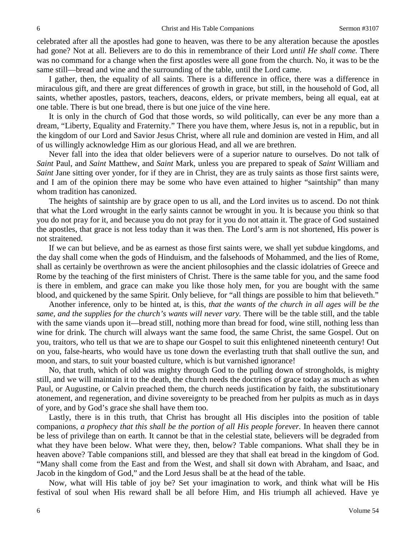celebrated after all the apostles had gone to heaven, was there to be any alteration because the apostles had gone? Not at all. Believers are to do this in remembrance of their Lord *until He shall come.* There was no command for a change when the first apostles were all gone from the church. No, it was to be the same still—bread and wine and the surrounding of the table, until the Lord came.

I gather, then, the equality of all saints. There is a difference in office, there was a difference in miraculous gift, and there are great differences of growth in grace, but still, in the household of God, all saints, whether apostles, pastors, teachers, deacons, elders, or private members, being all equal, eat at one table. There is but one bread, there is but one juice of the vine here.

It is only in the church of God that those words, so wild politically, can ever be any more than a dream, "Liberty, Equality and Fraternity." There you have them, where Jesus is, not in a republic, but in the kingdom of our Lord and Savior Jesus Christ, where all rule and dominion are vested in Him, and all of us willingly acknowledge Him as our glorious Head, and all we are brethren.

Never fall into the idea that older believers were of a superior nature to ourselves. Do not talk of *Saint* Paul, and *Saint* Matthew, and *Saint* Mark, unless you are prepared to speak of *Saint* William and *Saint Jane sitting over yonder, for if they are in Christ, they are as truly saints as those first saints were,* and I am of the opinion there may be some who have even attained to higher "saintship" than many whom tradition has canonized.

The heights of saintship are by grace open to us all, and the Lord invites us to ascend. Do not think that what the Lord wrought in the early saints cannot be wrought in you. It is because you think so that you do not pray for it, and because you do not pray for it you do not attain it. The grace of God sustained the apostles, that grace is not less today than it was then. The Lord's arm is not shortened, His power is not straitened.

If we can but believe, and be as earnest as those first saints were, we shall yet subdue kingdoms, and the day shall come when the gods of Hinduism, and the falsehoods of Mohammed, and the lies of Rome, shall as certainly be overthrown as were the ancient philosophies and the classic idolatries of Greece and Rome by the teaching of the first ministers of Christ. There is the same table for you, and the same food is there in emblem, and grace can make you like those holy men, for you are bought with the same blood, and quickened by the same Spirit. Only believe, for "all things are possible to him that believeth."

Another inference, only to be hinted at, is this, *that the wants of the church in all ages will be the same, and the supplies for the church's wants will never vary.* There will be the table still, and the table with the same viands upon it—bread still, nothing more than bread for food, wine still, nothing less than wine for drink. The church will always want the same food, the same Christ, the same Gospel. Out on you, traitors, who tell us that we are to shape our Gospel to suit this enlightened nineteenth century! Out on you, false-hearts, who would have us tone down the everlasting truth that shall outlive the sun, and moon, and stars, to suit your boasted culture, which is but varnished ignorance!

No, that truth, which of old was mighty through God to the pulling down of strongholds, is mighty still, and we will maintain it to the death, the church needs the doctrines of grace today as much as when Paul, or Augustine, or Calvin preached them, the church needs justification by faith, the substitutionary atonement, and regeneration, and divine sovereignty to be preached from her pulpits as much as in days of yore, and by God's grace she shall have them too.

Lastly, there is in this truth, that Christ has brought all His disciples into the position of table companions, *a prophecy that this shall be the portion of all His people forever.* In heaven there cannot be less of privilege than on earth. It cannot be that in the celestial state, believers will be degraded from what they have been below. What were they, then, below? Table companions. What shall they be in heaven above? Table companions still, and blessed are they that shall eat bread in the kingdom of God. "Many shall come from the East and from the West, and shall sit down with Abraham, and Isaac, and Jacob in the kingdom of God," and the Lord Jesus shall be at the head of the table.

Now, what will His table of joy be? Set your imagination to work, and think what will be His festival of soul when His reward shall be all before Him, and His triumph all achieved. Have ye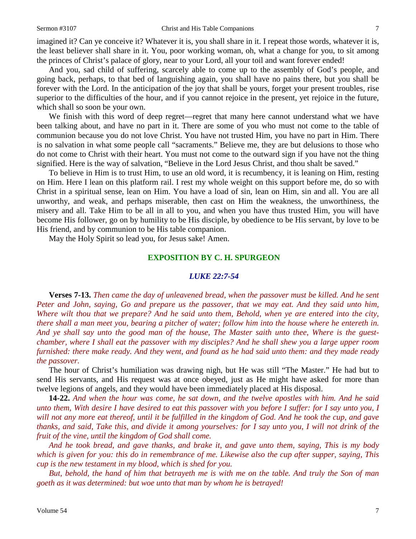imagined it? Can ye conceive it? Whatever it is, you shall share in it. I repeat those words, whatever it is, the least believer shall share in it. You, poor working woman, oh, what a change for you, to sit among the princes of Christ's palace of glory, near to your Lord, all your toil and want forever ended!

And you, sad child of suffering, scarcely able to come up to the assembly of God's people, and going back, perhaps, to that bed of languishing again, you shall have no pains there, but you shall be forever with the Lord. In the anticipation of the joy that shall be yours, forget your present troubles, rise superior to the difficulties of the hour, and if you cannot rejoice in the present, yet rejoice in the future, which shall so soon be your own.

We finish with this word of deep regret—regret that many here cannot understand what we have been talking about, and have no part in it. There are some of you who must not come to the table of communion because you do not love Christ. You have not trusted Him, you have no part in Him. There is no salvation in what some people call "sacraments." Believe me, they are but delusions to those who do not come to Christ with their heart. You must not come to the outward sign if you have not the thing signified. Here is the way of salvation, "Believe in the Lord Jesus Christ, and thou shalt be saved."

To believe in Him is to trust Him, to use an old word, it is recumbency, it is leaning on Him, resting on Him. Here I lean on this platform rail. I rest my whole weight on this support before me, do so with Christ in a spiritual sense, lean on Him. You have a load of sin, lean on Him, sin and all. You are all unworthy, and weak, and perhaps miserable, then cast on Him the weakness, the unworthiness, the misery and all. Take Him to be all in all to you, and when you have thus trusted Him, you will have become His follower, go on by humility to be His disciple, by obedience to be His servant, by love to be His friend, and by communion to be His table companion.

May the Holy Spirit so lead you, for Jesus sake! Amen.

### **EXPOSITION BY C. H. SPURGEON**

### *LUKE 22:7-54*

**Verses 7-13.** *Then came the day of unleavened bread, when the passover must be killed. And he sent Peter and John, saying, Go and prepare us the passover, that we may eat. And they said unto him, Where wilt thou that we prepare? And he said unto them, Behold, when ye are entered into the city, there shall a man meet you, bearing a pitcher of water; follow him into the house where he entereth in. And ye shall say unto the good man of the house, The Master saith unto thee, Where is the guestchamber, where I shall eat the passover with my disciples? And he shall shew you a large upper room furnished: there make ready. And they went, and found as he had said unto them: and they made ready the passover.*

The hour of Christ's humiliation was drawing nigh, but He was still "The Master." He had but to send His servants, and His request was at once obeyed, just as He might have asked for more than twelve legions of angels, and they would have been immediately placed at His disposal.

**14-22.** *And when the hour was come, he sat down, and the twelve apostles with him. And he said unto them, With desire I have desired to eat this passover with you before I suffer: for I say unto you, I will not any more eat thereof, until it be fulfilled in the kingdom of God. And he took the cup, and gave thanks, and said, Take this, and divide it among yourselves: for I say unto you, I will not drink of the fruit of the vine, until the kingdom of God shall come.*

*And he took bread, and gave thanks, and brake it, and gave unto them, saying, This is my body which is given for you: this do in remembrance of me. Likewise also the cup after supper, saying, This cup is the new testament in my blood, which is shed for you.*

*But, behold, the hand of him that betrayeth me is with me on the table. And truly the Son of man goeth as it was determined: but woe unto that man by whom he is betrayed!*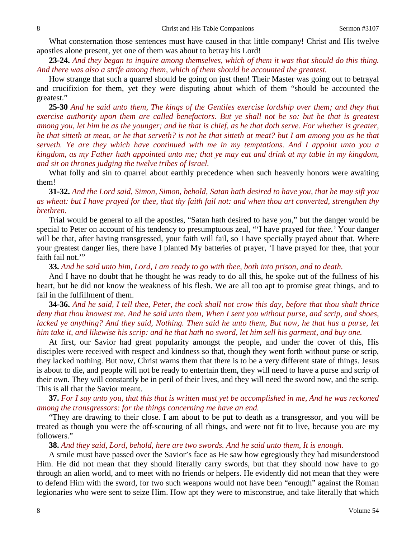What consternation those sentences must have caused in that little company! Christ and His twelve apostles alone present, yet one of them was about to betray his Lord!

**23-24.** *And they began to inquire among themselves, which of them it was that should do this thing. And there was also a strife among them, which of them should be accounted the greatest.*

How strange that such a quarrel should be going on just then! Their Master was going out to betrayal and crucifixion for them, yet they were disputing about which of them "should be accounted the greatest."

**25-30** *And he said unto them, The kings of the Gentiles exercise lordship over them; and they that exercise authority upon them are called benefactors. But ye shall not be so: but he that is greatest among you, let him be as the younger; and he that is chief, as he that doth serve. For whether is greater, he that sitteth at meat, or he that serveth? is not he that sitteth at meat? but I am among you as he that serveth. Ye are they which have continued with me in my temptations. And I appoint unto you a kingdom, as my Father hath appointed unto me; that ye may eat and drink at my table in my kingdom, and sit on thrones judging the twelve tribes of Israel.*

What folly and sin to quarrel about earthly precedence when such heavenly honors were awaiting them!

**31-32.** *And the Lord said, Simon, Simon, behold, Satan hath desired to have you, that he may sift you as wheat: but I have prayed for thee, that thy faith fail not: and when thou art converted, strengthen thy brethren.*

Trial would be general to all the apostles, "Satan hath desired to have *you*," but the danger would be special to Peter on account of his tendency to presumptuous zeal, "'I have prayed for *thee*.*'* Your danger will be that, after having transgressed, your faith will fail, so I have specially prayed about that. Where your greatest danger lies, there have I planted My batteries of prayer, 'I have prayed for thee, that your faith fail not."

**33.** *And he said unto him, Lord, I am ready to go with thee, both into prison, and to death.*

And I have no doubt that he thought he was ready to do all this, he spoke out of the fullness of his heart, but he did not know the weakness of his flesh. We are all too apt to promise great things, and to fail in the fulfillment of them.

**34-36.** *And he said, I tell thee, Peter, the cock shall not crow this day, before that thou shalt thrice deny that thou knowest me. And he said unto them, When I sent you without purse, and scrip, and shoes, lacked ye anything? And they said, Nothing. Then said he unto them, But now, he that has a purse, let him take it, and likewise his scrip: and he that hath no sword, let him sell his garment, and buy one.*

At first, our Savior had great popularity amongst the people, and under the cover of this, His disciples were received with respect and kindness so that, though they went forth without purse or scrip, they lacked nothing. But now, Christ warns them that there is to be a very different state of things. Jesus is about to die, and people will not be ready to entertain them, they will need to have a purse and scrip of their own. They will constantly be in peril of their lives, and they will need the sword now, and the scrip. This is all that the Savior meant.

**37.** *For I say unto you, that this that is written must yet be accomplished in me, And he was reckoned among the transgressors: for the things concerning me have an end.*

"They are drawing to their close. I am about to be put to death as a transgressor, and you will be treated as though you were the off-scouring of all things, and were not fit to live, because you are my followers."

**38.** *And they said, Lord, behold, here are two swords. And he said unto them, It is enough.*

A smile must have passed over the Savior's face as He saw how egregiously they had misunderstood Him. He did not mean that they should literally carry swords, but that they should now have to go through an alien world, and to meet with no friends or helpers. He evidently did not mean that they were to defend Him with the sword, for two such weapons would not have been "enough" against the Roman legionaries who were sent to seize Him. How apt they were to misconstrue, and take literally that which